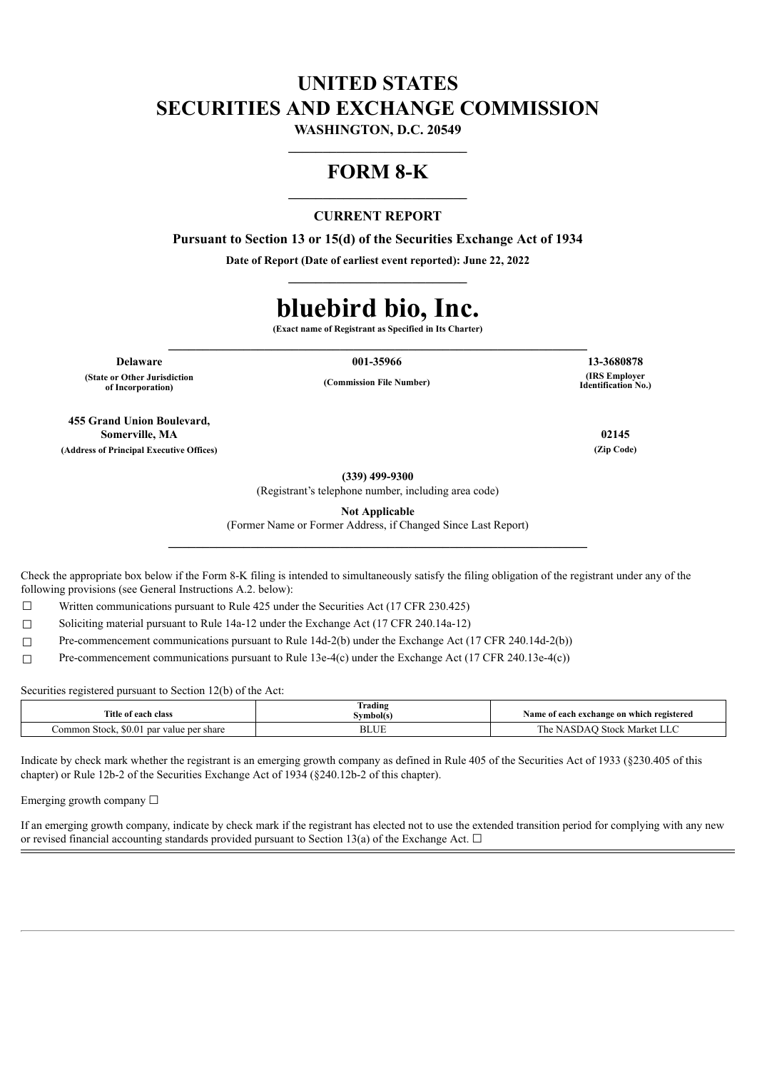# **UNITED STATES SECURITIES AND EXCHANGE COMMISSION**

**WASHINGTON, D.C. 20549 \_\_\_\_\_\_\_\_\_\_\_\_\_\_\_\_\_\_\_\_\_\_\_\_\_\_**

## **FORM 8-K**

## **CURRENT REPORT**

**Pursuant to Section 13 or 15(d) of the Securities Exchange Act of 1934**

**Date of Report (Date of earliest event reported): June 22, 2022 \_\_\_\_\_\_\_\_\_\_\_\_\_\_\_\_\_\_\_\_\_\_\_\_\_\_**

# **bluebird bio, Inc.**

**(Exact name of Registrant as Specified in Its Charter) \_\_\_\_\_\_\_\_\_\_\_\_\_\_\_\_\_\_\_\_\_\_\_\_\_\_\_\_\_\_\_\_\_\_\_\_\_\_\_\_\_\_\_\_\_\_\_\_\_\_\_\_\_\_\_\_\_\_\_\_\_**

**Delaware 001-35966 13-3680878 (State or Other Jurisdiction of Incorporation)**

**(Commission File Number)**

**(IRS Employer Identification No.)**

**455 Grand Union Boulevard, Somerville, MA 02145 (Address of Principal Executive Offices) (Zip Code)**

**(339) 499-9300**

(Registrant's telephone number, including area code)

**Not Applicable**

(Former Name or Former Address, if Changed Since Last Report) **\_\_\_\_\_\_\_\_\_\_\_\_\_\_\_\_\_\_\_\_\_\_\_\_\_\_\_\_\_\_\_\_\_\_\_\_\_\_\_\_\_\_\_\_\_\_\_\_\_\_\_\_\_\_\_\_\_\_\_\_\_**

Check the appropriate box below if the Form 8-K filing is intended to simultaneously satisfy the filing obligation of the registrant under any of the following provisions (see General Instructions A.2. below):

 $\Box$  Written communications pursuant to Rule 425 under the Securities Act (17 CFR 230.425)

☐ Soliciting material pursuant to Rule 14a-12 under the Exchange Act (17 CFR 240.14a-12)

 $\Box$  Pre-commencement communications pursuant to Rule 14d-2(b) under the Exchange Act (17 CFR 240.14d-2(b))

☐ Pre-commencement communications pursuant to Rule 13e-4(c) under the Exchange Act (17 CFR 240.13e-4(c))

Securities registered pursuant to Section 12(b) of the Act:

| Title of each class                            | $\sim$<br>rading<br>Svmbol(s) | Name of each exchange on which registered |
|------------------------------------------------|-------------------------------|-------------------------------------------|
| \$0.01<br>Jommon Stock,<br>get value per share | <b>DLUL</b>                   | Stock Market LLC<br>ASDA                  |

Indicate by check mark whether the registrant is an emerging growth company as defined in Rule 405 of the Securities Act of 1933 (§230.405 of this chapter) or Rule 12b-2 of the Securities Exchange Act of 1934 (§240.12b-2 of this chapter).

Emerging growth company  $\Box$ 

If an emerging growth company, indicate by check mark if the registrant has elected not to use the extended transition period for complying with any new or revised financial accounting standards provided pursuant to Section 13(a) of the Exchange Act.  $\Box$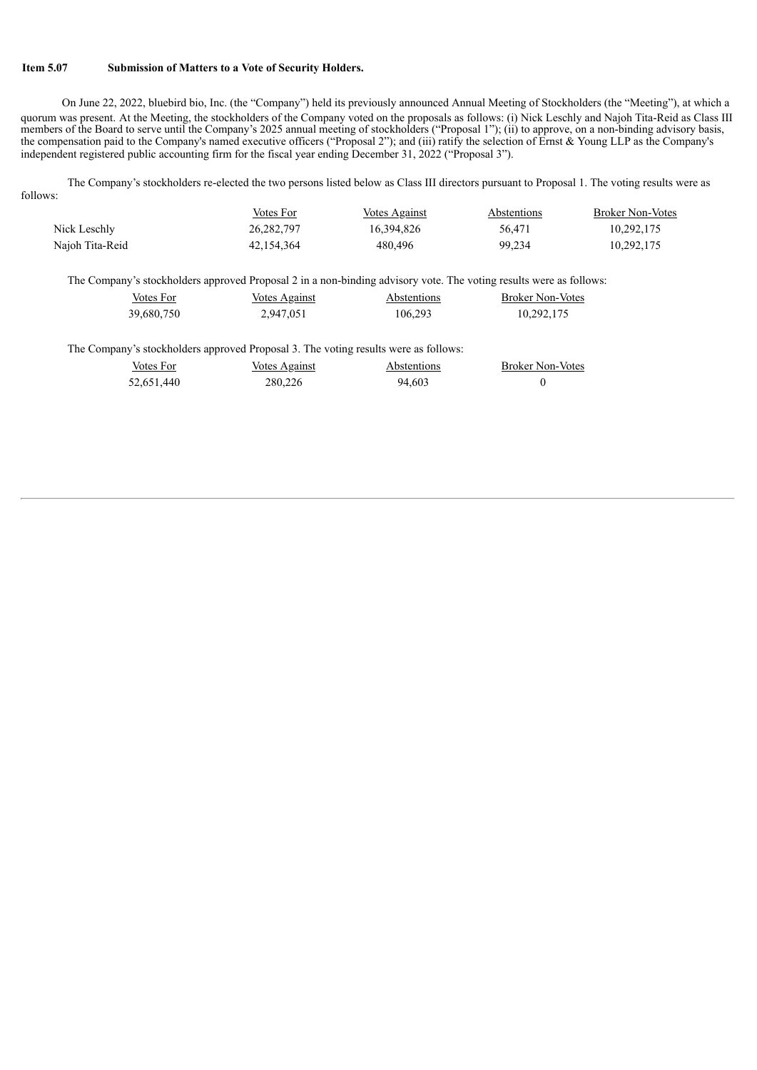### **Item 5.07 Submission of Matters to a Vote of Security Holders.**

On June 22, 2022, bluebird bio, Inc. (the "Company") held its previously announced Annual Meeting of Stockholders (the "Meeting"), at which a quorum was present. At the Meeting, the stockholders of the Company voted on the proposals as follows: (i) Nick Leschly and Najoh Tita-Reid as Class III members of the Board to serve until the Company's 2025 annual meeting of stockholders ("Proposal 1"); (ii) to approve, on a non-binding advisory basis, the compensation paid to the Company's named executive officers ("Proposal 2"); and (iii) ratify the selection of Ernst & Young LLP as the Company's independent registered public accounting firm for the fiscal year ending December 31, 2022 ("Proposal 3").

The Company's stockholders re-elected the two persons listed below as Class III directors pursuant to Proposal 1. The voting results were as follows:

|                 | Votes For  | Votes Against | Abstentions | <b>Broker Non-Votes</b> |
|-----------------|------------|---------------|-------------|-------------------------|
| Nick Leschly    | 26.282.797 | 16.394.826    | 56.471      | 10.292.175              |
| Najoh Tita-Reid | 42.154.364 | 480.496       | 99.234      | 10,292,175              |

The Company's stockholders approved Proposal 2 in a non-binding advisory vote. The voting results were as follows:

| Votes For  | <b>Votes Against</b> | Abstentions | <b>Broker Non-Votes</b> |
|------------|----------------------|-------------|-------------------------|
| 39,680,750 | 2,947,051            | 106,293     | 10,292,175              |

The Company's stockholders approved Proposal 3. The voting results were as follows:

| Votes For  | Votes Against | Abstentions | <b>Broker Non-Votes</b> |
|------------|---------------|-------------|-------------------------|
| 52,651,440 | 280,226       | 94.603      |                         |